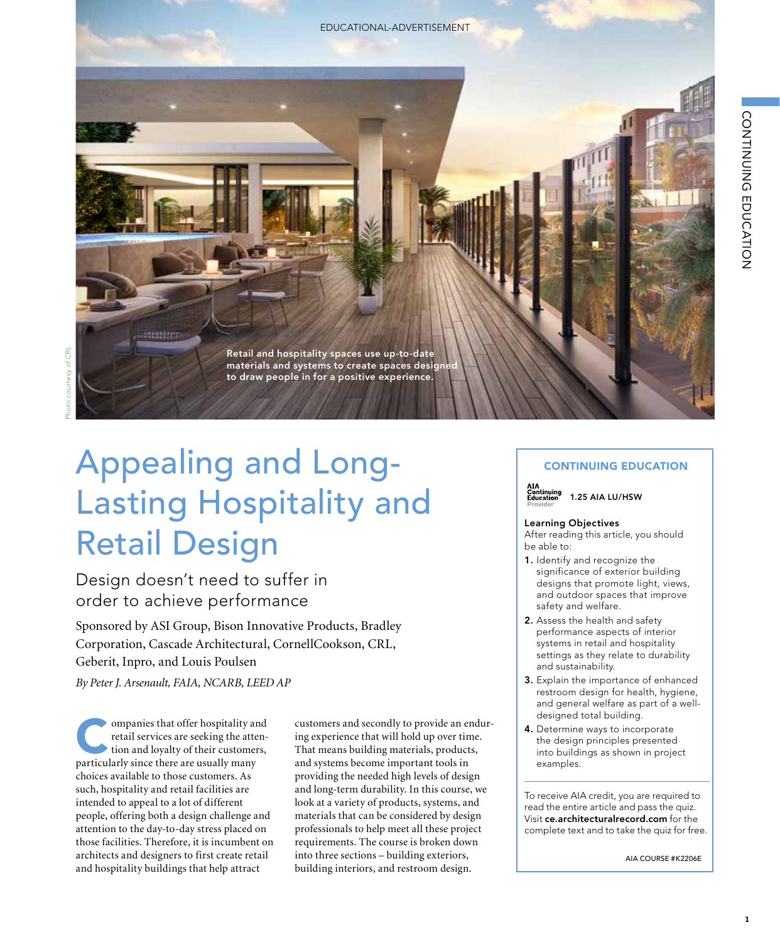EDUCATIONAL-ADVERTISEMENT



# Appealing and Long-Lasting Hospitality and Retail Design

# Design doesn't need to suffer in order to achieve performance

Sponsored by ASI Group, Bison Innovative Products, Bradley Corporation, Cascade Architectural, CornellCookson, CRL, Geberit, Inpro, and Louis Poulsen

*By Peter J. Arsenault, FAIA, NCARB, LEED AP*

ompanies that offer hospitality and<br>retail services are seeking the atten-<br>tion and loyalty of their customers,<br>noticularly since there are usually many retail services are seeking the attention and loyalty of their customers, particularly since there are usually many choices available to those customers. As such, hospitality and retail facilities are intended to appeal to a lot of different people, offering both a design challenge and attention to the day-to-day stress placed on those facilities. Therefore, it is incumbent on architects and designers to first create retail and hospitality buildings that help attract

customers and secondly to provide an enduring experience that will hold up over time. That means building materials, products, and systems become important tools in providing the needed high levels of design and long-term durability. In this course, we look at a variety of products, systems, and materials that can be considered by design professionals to help meet all these project requirements. The course is broken down into three sections – building exteriors, building interiors, and restroom design.

#### CONTINUING EDUCATION



1.25 AIA LU/HSW

#### Learning Objectives

After reading this article, you should be able to:

- 1. Identify and recognize the significance of exterior building designs that promote light, views, and outdoor spaces that improve safety and welfare.
- 2. Assess the health and safety performance aspects of interior systems in retail and hospitality settings as they relate to durability and sustainability.
- 3. Explain the importance of enhanced restroom design for health, hygiene, and general welfare as part of a welldesigned total building.
- 4. Determine ways to incorporate the design principles presented into buildings as shown in project examples.

To receive AIA credit, you are required to read the entire article and pass the quiz. Visit **ce.architecturalrecord.com** for the complete text and to take the quiz for free.

AIA COURSE #K2206E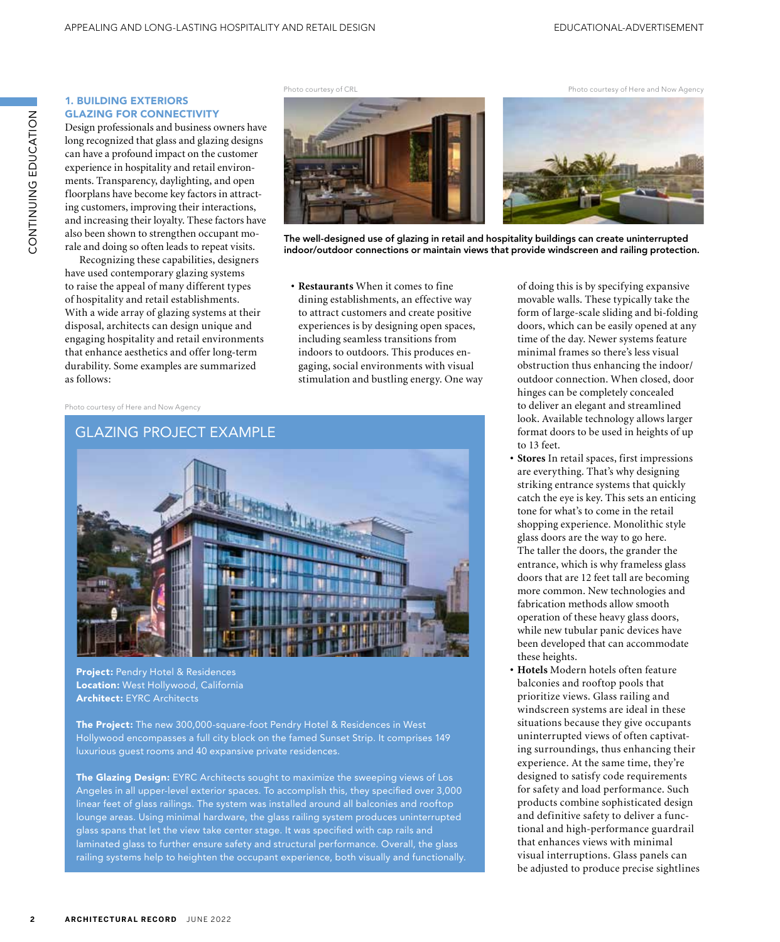Photo courtesy of Here and Now Agency

# 1. BUILDING EXTERIORS GLAZING FOR CONNECTIVITY

Design professionals and business owners have long recognized that glass and glazing designs can have a profound impact on the customer experience in hospitality and retail environments. Transparency, daylighting, and open floorplans have become key factors in attracting customers, improving their interactions, and increasing their loyalty. These factors have also been shown to strengthen occupant morale and doing so often leads to repeat visits.

Recognizing these capabilities, designers have used contemporary glazing systems to raise the appeal of many different types of hospitality and retail establishments. With a wide array of glazing systems at their disposal, architects can design unique and engaging hospitality and retail environments that enhance aesthetics and offer long-term durability. Some examples are summarized as follows:

Photo courtesy of CRL



The well-designed use of glazing in retail and hospitality buildings can create uninterrupted indoor/outdoor connections or maintain views that provide windscreen and railing protection.

**• Restaurants** When it comes to fine dining establishments, an effective way to attract customers and create positive experiences is by designing open spaces, including seamless transitions from indoors to outdoors. This produces engaging, social environments with visual stimulation and bustling energy. One way

Photo courtesy of Here and Now Agency



Project: Pendry Hotel & Residences Location: West Hollywood, California Architect: EYRC Architects

The Project: The new 300,000-square-foot Pendry Hotel & Residences in West Hollywood encompasses a full city block on the famed Sunset Strip. It comprises 149 luxurious guest rooms and 40 expansive private residences.

The Glazing Design: EYRC Architects sought to maximize the sweeping views of Los Angeles in all upper-level exterior spaces. To accomplish this, they specified over 3,000 linear feet of glass railings. The system was installed around all balconies and rooftop lounge areas. Using minimal hardware, the glass railing system produces uninterrupted glass spans that let the view take center stage. It was specified with cap rails and laminated glass to further ensure safety and structural performance. Overall, the glass railing systems help to heighten the occupant experience, both visually and functionally. of doing this is by specifying expansive movable walls. These typically take the form of large-scale sliding and bi-folding doors, which can be easily opened at any time of the day. Newer systems feature minimal frames so there's less visual obstruction thus enhancing the indoor/ outdoor connection. When closed, door hinges can be completely concealed to deliver an elegant and streamlined look. Available technology allows larger format doors to be used in heights of up to 13 feet.

- **• Stores** In retail spaces, first impressions are everything. That's why designing striking entrance systems that quickly catch the eye is key. This sets an enticing tone for what's to come in the retail shopping experience. Monolithic style glass doors are the way to go here. The taller the doors, the grander the entrance, which is why frameless glass doors that are 12 feet tall are becoming more common. New technologies and fabrication methods allow smooth operation of these heavy glass doors, while new tubular panic devices have been developed that can accommodate these heights.
- **• Hotels** Modern hotels often feature balconies and rooftop pools that prioritize views. Glass railing and windscreen systems are ideal in these situations because they give occupants uninterrupted views of often captivating surroundings, thus enhancing their experience. At the same time, they're designed to satisfy code requirements for safety and load performance. Such products combine sophisticated design and definitive safety to deliver a functional and high-performance guardrail that enhances views with minimal visual interruptions. Glass panels can be adjusted to produce precise sightlines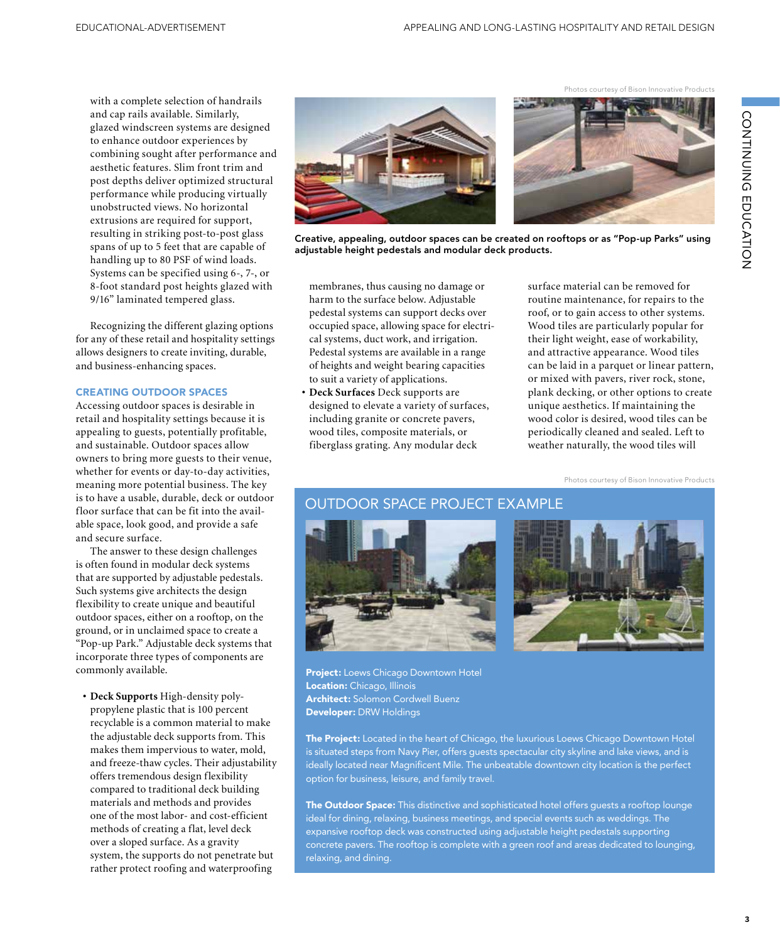with a complete selection of handrails and cap rails available. Similarly, glazed windscreen systems are designed to enhance outdoor experiences by combining sought after performance and aesthetic features. Slim front trim and post depths deliver optimized structural performance while producing virtually unobstructed views. No horizontal extrusions are required for support, resulting in striking post-to-post glass spans of up to 5 feet that are capable of handling up to 80 PSF of wind loads. Systems can be specified using 6-, 7-, or 8-foot standard post heights glazed with 9/16" laminated tempered glass.

Recognizing the different glazing options for any of these retail and hospitality settings allows designers to create inviting, durable, and business-enhancing spaces.

#### CREATING OUTDOOR SPACES

Accessing outdoor spaces is desirable in retail and hospitality settings because it is appealing to guests, potentially profitable, and sustainable. Outdoor spaces allow owners to bring more guests to their venue, whether for events or day-to-day activities, meaning more potential business. The key is to have a usable, durable, deck or outdoor floor surface that can be fit into the available space, look good, and provide a safe and secure surface.

The answer to these design challenges is often found in modular deck systems that are supported by adjustable pedestals. Such systems give architects the design flexibility to create unique and beautiful outdoor spaces, either on a rooftop, on the ground, or in unclaimed space to create a "Pop-up Park." Adjustable deck systems that incorporate three types of components are commonly available.

**• Deck Supports** High-density polypropylene plastic that is 100 percent recyclable is a common material to make the adjustable deck supports from. This makes them impervious to water, mold, and freeze-thaw cycles. Their adjustability offers tremendous design flexibility compared to traditional deck building materials and methods and provides one of the most labor- and cost-efficient methods of creating a flat, level deck over a sloped surface. As a gravity system, the supports do not penetrate but rather protect roofing and waterproofing





Creative, appealing, outdoor spaces can be created on rooftops or as "Pop-up Parks" using adjustable height pedestals and modular deck products.

membranes, thus causing no damage or harm to the surface below. Adjustable pedestal systems can support decks over occupied space, allowing space for electrical systems, duct work, and irrigation. Pedestal systems are available in a range of heights and weight bearing capacities to suit a variety of applications.

**• Deck Surfaces** Deck supports are designed to elevate a variety of surfaces, including granite or concrete pavers, wood tiles, composite materials, or fiberglass grating. Any modular deck

surface material can be removed for routine maintenance, for repairs to the roof, or to gain access to other systems. Wood tiles are particularly popular for their light weight, ease of workability, and attractive appearance. Wood tiles can be laid in a parquet or linear pattern, or mixed with pavers, river rock, stone, plank decking, or other options to create unique aesthetics. If maintaining the wood color is desired, wood tiles can be periodically cleaned and sealed. Left to weather naturally, the wood tiles will

Photos courtesy of Bison Innovative Products

# OUTDOOR SPACE PROJECT EXAMPLE





Project: Loews Chicago Downtown Hotel Location: Chicago, Illinois Architect: Solomon Cordwell Buenz Developer: DRW Holdings

The Project: Located in the heart of Chicago, the luxurious Loews Chicago Downtown Hotel is situated steps from Navy Pier, offers guests spectacular city skyline and lake views, and is ideally located near Magnificent Mile. The unbeatable downtown city location is the perfect option for business, leisure, and family travel.

The Outdoor Space: This distinctive and sophisticated hotel offers guests a rooftop lounge ideal for dining, relaxing, business meetings, and special events such as weddings. The expansive rooftop deck was constructed using adjustable height pedestals supporting concrete pavers. The rooftop is complete with a green roof and areas dedicated to lounging, relaxing, and dining.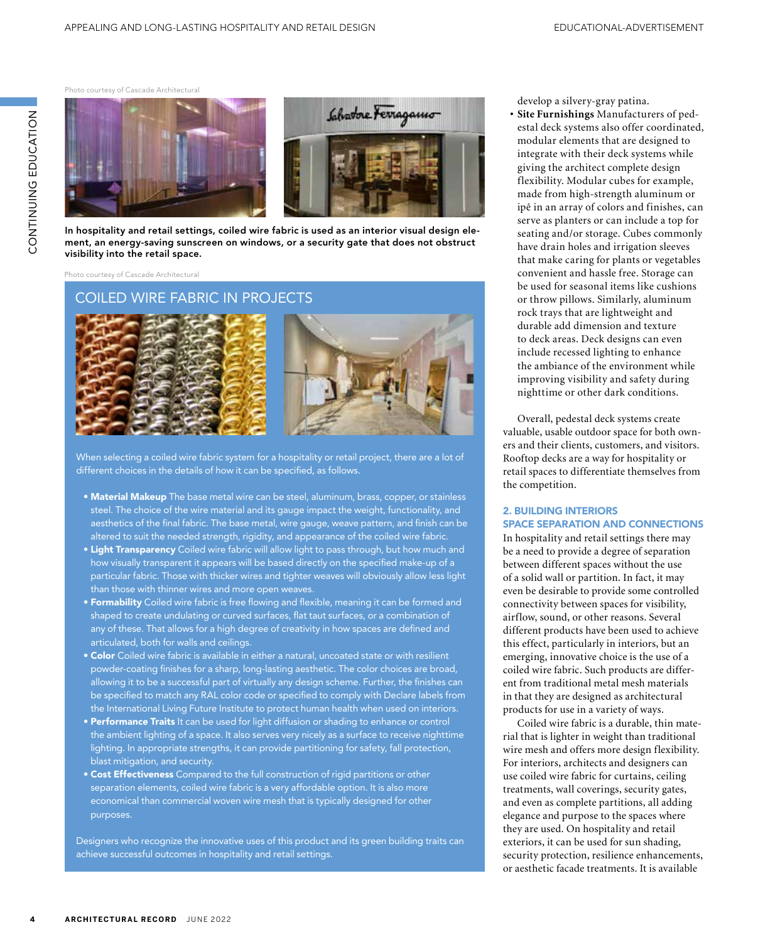Photo courtesy of Cascade Architectural



In hospitality and retail settings, coiled wire fabric is used as an interior visual design element, an energy-saving sunscreen on windows, or a security gate that does not obstruct visibility into the retail space.

Photo courtesy of Cascade Architectural

# COILED WIRE FABRIC IN PROJECTS





When selecting a coiled wire fabric system for a hospitality or retail project, there are a lot of different choices in the details of how it can be specified, as follows.

- Material Makeup The base metal wire can be steel, aluminum, brass, copper, or stainless steel. The choice of the wire material and its gauge impact the weight, functionality, and aesthetics of the final fabric. The base metal, wire gauge, weave pattern, and finish can be altered to suit the needed strength, rigidity, and appearance of the coiled wire fabric.
- Light Transparency Coiled wire fabric will allow light to pass through, but how much and how visually transparent it appears will be based directly on the specified make-up of a particular fabric. Those with thicker wires and tighter weaves will obviously allow less light than those with thinner wires and more open weaves.
- **Formability** Coiled wire fabric is free flowing and flexible, meaning it can be formed and shaped to create undulating or curved surfaces, flat taut surfaces, or a combination of any of these. That allows for a high degree of creativity in how spaces are defined and articulated, both for walls and ceilings.
- Color Coiled wire fabric is available in either a natural, uncoated state or with resilient powder-coating finishes for a sharp, long-lasting aesthetic. The color choices are broad, allowing it to be a successful part of virtually any design scheme. Further, the finishes can be specified to match any RAL color code or specified to comply with Declare labels from the International Living Future Institute to protect human health when used on interiors.
- Performance Traits It can be used for light diffusion or shading to enhance or control the ambient lighting of a space. It also serves very nicely as a surface to receive nighttime lighting. In appropriate strengths, it can provide partitioning for safety, fall protection, blast mitigation, and security.
- Cost Effectiveness Compared to the full construction of rigid partitions or other separation elements, coiled wire fabric is a very affordable option. It is also more economical than commercial woven wire mesh that is typically designed for other purposes.

Designers who recognize the innovative uses of this product and its green building traits can achieve successful outcomes in hospitality and retail settings.

develop a silvery-gray patina.

**• Site Furnishings** Manufacturers of pedestal deck systems also offer coordinated, modular elements that are designed to integrate with their deck systems while giving the architect complete design flexibility. Modular cubes for example, made from high-strength aluminum or ipê in an array of colors and finishes, can serve as planters or can include a top for seating and/or storage. Cubes commonly have drain holes and irrigation sleeves that make caring for plants or vegetables convenient and hassle free. Storage can be used for seasonal items like cushions or throw pillows. Similarly, aluminum rock trays that are lightweight and durable add dimension and texture to deck areas. Deck designs can even include recessed lighting to enhance the ambiance of the environment while improving visibility and safety during nighttime or other dark conditions.

Overall, pedestal deck systems create valuable, usable outdoor space for both owners and their clients, customers, and visitors. Rooftop decks are a way for hospitality or retail spaces to differentiate themselves from the competition.

#### 2. BUILDING INTERIORS SPACE SEPARATION AND CONNECTIONS

In hospitality and retail settings there may be a need to provide a degree of separation between different spaces without the use of a solid wall or partition. In fact, it may even be desirable to provide some controlled connectivity between spaces for visibility, airflow, sound, or other reasons. Several different products have been used to achieve this effect, particularly in interiors, but an emerging, innovative choice is the use of a coiled wire fabric. Such products are different from traditional metal mesh materials in that they are designed as architectural products for use in a variety of ways.

Coiled wire fabric is a durable, thin material that is lighter in weight than traditional wire mesh and offers more design flexibility. For interiors, architects and designers can use coiled wire fabric for curtains, ceiling treatments, wall coverings, security gates, and even as complete partitions, all adding elegance and purpose to the spaces where they are used. On hospitality and retail exteriors, it can be used for sun shading, security protection, resilience enhancements, or aesthetic facade treatments. It is available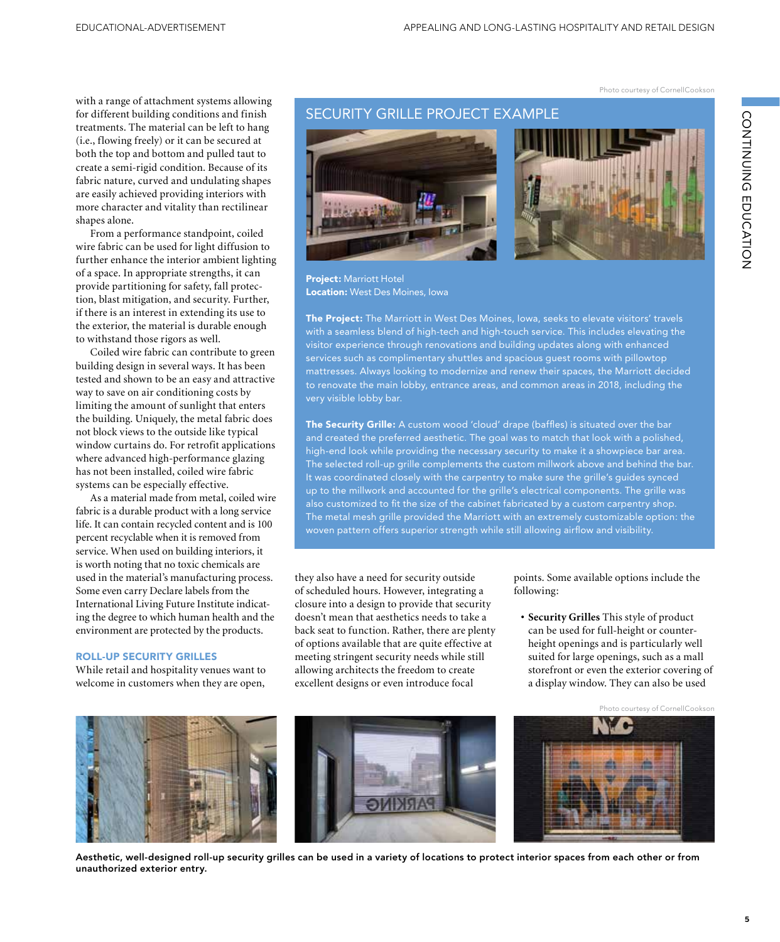Photo courtesy of CornellCookson

with a range of attachment systems allowing for different building conditions and finish treatments. The material can be left to hang (i.e., flowing freely) or it can be secured at both the top and bottom and pulled taut to create a semi-rigid condition. Because of its fabric nature, curved and undulating shapes are easily achieved providing interiors with more character and vitality than rectilinear shapes alone.

From a performance standpoint, coiled wire fabric can be used for light diffusion to further enhance the interior ambient lighting of a space. In appropriate strengths, it can provide partitioning for safety, fall protection, blast mitigation, and security. Further, if there is an interest in extending its use to the exterior, the material is durable enough to withstand those rigors as well.

Coiled wire fabric can contribute to green building design in several ways. It has been tested and shown to be an easy and attractive way to save on air conditioning costs by limiting the amount of sunlight that enters the building. Uniquely, the metal fabric does not block views to the outside like typical window curtains do. For retrofit applications where advanced high-performance glazing has not been installed, coiled wire fabric systems can be especially effective.

As a material made from metal, coiled wire fabric is a durable product with a long service life. It can contain recycled content and is 100 percent recyclable when it is removed from service. When used on building interiors, it is worth noting that no toxic chemicals are used in the material's manufacturing process. Some even carry Declare labels from the International Living Future Institute indicating the degree to which human health and the environment are protected by the products.

#### ROLL-UP SECURITY GRILLES

While retail and hospitality venues want to welcome in customers when they are open,

## SECURITY GRILLE PROJECT EXAMPLE





Project: Marriott Hotel Location: West Des Moines, Iowa

The Project: The Marriott in West Des Moines, Iowa, seeks to elevate visitors' travels with a seamless blend of high-tech and high-touch service. This includes elevating the visitor experience through renovations and building updates along with enhanced services such as complimentary shuttles and spacious guest rooms with pillowtop mattresses. Always looking to modernize and renew their spaces, the Marriott decided to renovate the main lobby, entrance areas, and common areas in 2018, including the very visible lobby bar.

The Security Grille: A custom wood 'cloud' drape (baffles) is situated over the bar and created the preferred aesthetic. The goal was to match that look with a polished, high-end look while providing the necessary security to make it a showpiece bar area. The selected roll-up grille complements the custom millwork above and behind the bar. It was coordinated closely with the carpentry to make sure the grille's guides synced up to the millwork and accounted for the grille's electrical components. The grille was also customized to fit the size of the cabinet fabricated by a custom carpentry shop. The metal mesh grille provided the Marriott with an extremely customizable option: the woven pattern offers superior strength while still allowing airflow and visibility.

they also have a need for security outside of scheduled hours. However, integrating a closure into a design to provide that security doesn't mean that aesthetics needs to take a back seat to function. Rather, there are plenty of options available that are quite effective at meeting stringent security needs while still allowing architects the freedom to create excellent designs or even introduce focal

points. Some available options include the following:

**• Security Grilles** This style of product can be used for full-height or counterheight openings and is particularly well suited for large openings, such as a mall storefront or even the exterior covering of a display window. They can also be used



#### Aesthetic, well-designed roll-up security grilles can be used in a variety of locations to protect interior spaces from each other or from unauthorized exterior entry.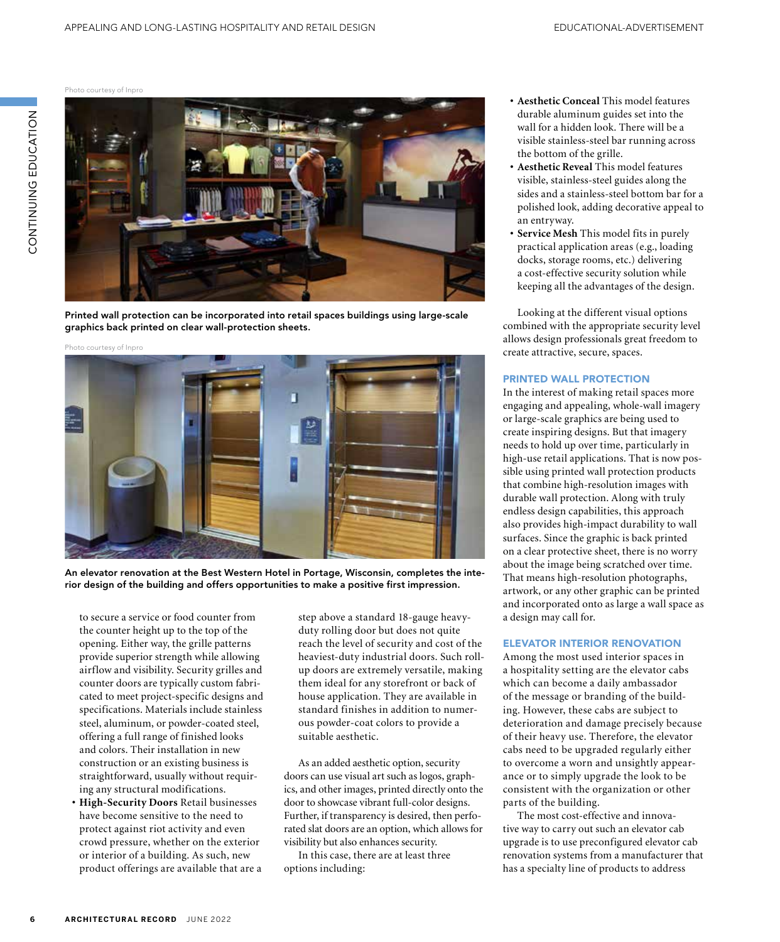Photo courtesy of Inpro



Printed wall protection can be incorporated into retail spaces buildings using large-scale graphics back printed on clear wall-protection sheets.

Photo courtesy of Inpro



An elevator renovation at the Best Western Hotel in Portage, Wisconsin, completes the interior design of the building and offers opportunities to make a positive first impression.

to secure a service or food counter from the counter height up to the top of the opening. Either way, the grille patterns provide superior strength while allowing airflow and visibility. Security grilles and counter doors are typically custom fabricated to meet project-specific designs and specifications. Materials include stainless steel, aluminum, or powder-coated steel, offering a full range of finished looks and colors. Their installation in new construction or an existing business is straightforward, usually without requiring any structural modifications.

**• High-Security Doors** Retail businesses have become sensitive to the need to protect against riot activity and even crowd pressure, whether on the exterior or interior of a building. As such, new product offerings are available that are a step above a standard 18-gauge heavyduty rolling door but does not quite reach the level of security and cost of the heaviest-duty industrial doors. Such rollup doors are extremely versatile, making them ideal for any storefront or back of house application. They are available in standard finishes in addition to numerous powder-coat colors to provide a suitable aesthetic.

As an added aesthetic option, security doors can use visual art such as logos, graphics, and other images, printed directly onto the door to showcase vibrant full-color designs. Further, if transparency is desired, then perforated slat doors are an option, which allows for visibility but also enhances security.

In this case, there are at least three options including:

- **• Aesthetic Conceal** This model features durable aluminum guides set into the wall for a hidden look. There will be a visible stainless-steel bar running across the bottom of the grille.
- **• Aesthetic Reveal** This model features visible, stainless-steel guides along the sides and a stainless-steel bottom bar for a polished look, adding decorative appeal to an entryway.
- **• Service Mesh** This model fits in purely practical application areas (e.g., loading docks, storage rooms, etc.) delivering a cost-effective security solution while keeping all the advantages of the design.

Looking at the different visual options combined with the appropriate security level allows design professionals great freedom to create attractive, secure, spaces.

#### PRINTED WALL PROTECTION

In the interest of making retail spaces more engaging and appealing, whole-wall imagery or large-scale graphics are being used to create inspiring designs. But that imagery needs to hold up over time, particularly in high-use retail applications. That is now possible using printed wall protection products that combine high-resolution images with durable wall protection. Along with truly endless design capabilities, this approach also provides high-impact durability to wall surfaces. Since the graphic is back printed on a clear protective sheet, there is no worry about the image being scratched over time. That means high-resolution photographs, artwork, or any other graphic can be printed and incorporated onto as large a wall space as a design may call for.

#### ELEVATOR INTERIOR RENOVATION

Among the most used interior spaces in a hospitality setting are the elevator cabs which can become a daily ambassador of the message or branding of the building. However, these cabs are subject to deterioration and damage precisely because of their heavy use. Therefore, the elevator cabs need to be upgraded regularly either to overcome a worn and unsightly appearance or to simply upgrade the look to be consistent with the organization or other parts of the building.

The most cost-effective and innovative way to carry out such an elevator cab upgrade is to use preconfigured elevator cab renovation systems from a manufacturer that has a specialty line of products to address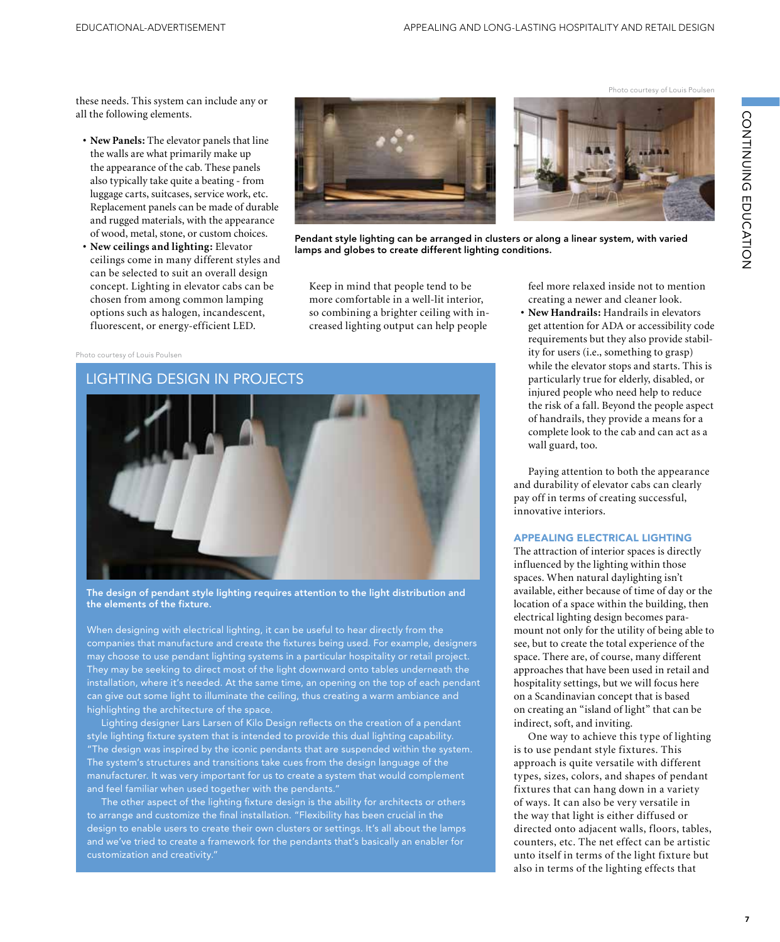these needs. This system can include any or all the following elements.

- **• New Panels:** The elevator panels that line the walls are what primarily make up the appearance of the cab. These panels also typically take quite a beating - from luggage carts, suitcases, service work, etc. Replacement panels can be made of durable and rugged materials, with the appearance of wood, metal, stone, or custom choices.
- **• New ceilings and lighting:** Elevator ceilings come in many different styles and can be selected to suit an overall design concept. Lighting in elevator cabs can be chosen from among common lamping options such as halogen, incandescent, fluorescent, or energy-efficient LED.



Pendant style lighting can be arranged in clusters or along a linear system, with varied lamps and globes to create different lighting conditions.

Keep in mind that people tend to be more comfortable in a well-lit interior, so combining a brighter ceiling with increased lighting output can help people

#### Photo courtesy of Louis Poulsen

# LIGHTING DESIGN IN PROJECTS

The design of pendant style lighting requires attention to the light distribution and the elements of the fixture.

When designing with electrical lighting, it can be useful to hear directly from the companies that manufacture and create the fixtures being used. For example, designers may choose to use pendant lighting systems in a particular hospitality or retail project. They may be seeking to direct most of the light downward onto tables underneath the installation, where it's needed. At the same time, an opening on the top of each pendant can give out some light to illuminate the ceiling, thus creating a warm ambiance and highlighting the architecture of the space.

Lighting designer Lars Larsen of Kilo Design reflects on the creation of a pendant style lighting fixture system that is intended to provide this dual lighting capability. "The design was inspired by the iconic pendants that are suspended within the system. The system's structures and transitions take cues from the design language of the manufacturer. It was very important for us to create a system that would complement and feel familiar when used together with the pendants."

The other aspect of the lighting fixture design is the ability for architects or others to arrange and customize the final installation. "Flexibility has been crucial in the design to enable users to create their own clusters or settings. It's all about the lamps and we've tried to create a framework for the pendants that's basically an enabler for

feel more relaxed inside not to mention creating a newer and cleaner look.

Photo courtesy of Louis Poulsen

**• New Handrails:** Handrails in elevators get attention for ADA or accessibility code requirements but they also provide stability for users (i.e., something to grasp) while the elevator stops and starts. This is particularly true for elderly, disabled, or injured people who need help to reduce the risk of a fall. Beyond the people aspect of handrails, they provide a means for a complete look to the cab and can act as a wall guard, too.

Paying attention to both the appearance and durability of elevator cabs can clearly pay off in terms of creating successful, innovative interiors.

#### APPEALING ELECTRICAL LIGHTING

The attraction of interior spaces is directly influenced by the lighting within those spaces. When natural daylighting isn't available, either because of time of day or the location of a space within the building, then electrical lighting design becomes paramount not only for the utility of being able to see, but to create the total experience of the space. There are, of course, many different approaches that have been used in retail and hospitality settings, but we will focus here on a Scandinavian concept that is based on creating an "island of light" that can be indirect, soft, and inviting.

One way to achieve this type of lighting is to use pendant style fixtures. This approach is quite versatile with different types, sizes, colors, and shapes of pendant fixtures that can hang down in a variety of ways. It can also be very versatile in the way that light is either diffused or directed onto adjacent walls, floors, tables, counters, etc. The net effect can be artistic unto itself in terms of the light fixture but also in terms of the lighting effects that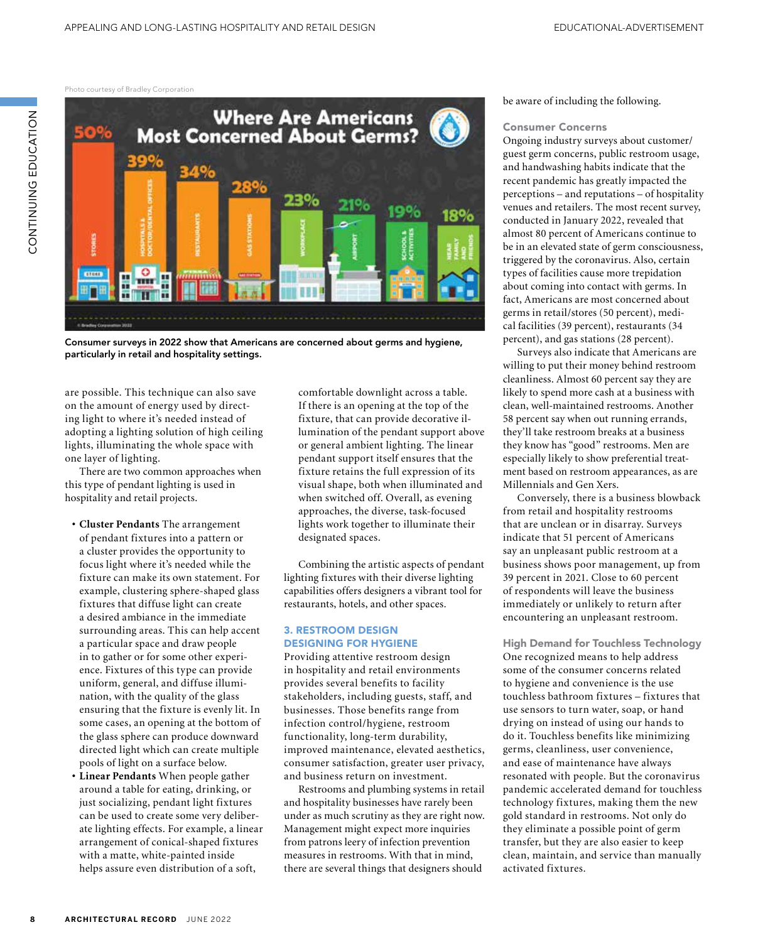Photo courtesy of Bradley Corporation



Consumer surveys in 2022 show that Americans are concerned about germs and hygiene, particularly in retail and hospitality settings.

are possible. This technique can also save on the amount of energy used by directing light to where it's needed instead of adopting a lighting solution of high ceiling lights, illuminating the whole space with one layer of lighting.

There are two common approaches when this type of pendant lighting is used in hospitality and retail projects.

- **• Cluster Pendants** The arrangement of pendant fixtures into a pattern or a cluster provides the opportunity to focus light where it's needed while the fixture can make its own statement. For example, clustering sphere-shaped glass fixtures that diffuse light can create a desired ambiance in the immediate surrounding areas. This can help accent a particular space and draw people in to gather or for some other experience. Fixtures of this type can provide uniform, general, and diffuse illumination, with the quality of the glass ensuring that the fixture is evenly lit. In some cases, an opening at the bottom of the glass sphere can produce downward directed light which can create multiple pools of light on a surface below.
- **• Linear Pendants** When people gather around a table for eating, drinking, or just socializing, pendant light fixtures can be used to create some very deliberate lighting effects. For example, a linear arrangement of conical-shaped fixtures with a matte, white-painted inside helps assure even distribution of a soft,

comfortable downlight across a table. If there is an opening at the top of the fixture, that can provide decorative illumination of the pendant support above or general ambient lighting. The linear pendant support itself ensures that the fixture retains the full expression of its visual shape, both when illuminated and when switched off. Overall, as evening approaches, the diverse, task-focused lights work together to illuminate their designated spaces.

Combining the artistic aspects of pendant lighting fixtures with their diverse lighting capabilities offers designers a vibrant tool for restaurants, hotels, and other spaces.

#### 3. RESTROOM DESIGN DESIGNING FOR HYGIENE

Providing attentive restroom design in hospitality and retail environments provides several benefits to facility stakeholders, including guests, staff, and businesses. Those benefits range from infection control/hygiene, restroom functionality, long-term durability, improved maintenance, elevated aesthetics, consumer satisfaction, greater user privacy, and business return on investment.

Restrooms and plumbing systems in retail and hospitality businesses have rarely been under as much scrutiny as they are right now. Management might expect more inquiries from patrons leery of infection prevention measures in restrooms. With that in mind, there are several things that designers should

#### be aware of including the following.

#### Consumer Concerns

Ongoing industry surveys about customer/ guest germ concerns, public restroom usage, and handwashing habits indicate that the recent pandemic has greatly impacted the perceptions – and reputations – of hospitality venues and retailers. The most recent survey, conducted in January 2022, revealed that almost 80 percent of Americans continue to be in an elevated state of germ consciousness, triggered by the coronavirus. Also, certain types of facilities cause more trepidation about coming into contact with germs. In fact, Americans are most concerned about germs in retail/stores (50 percent), medical facilities (39 percent), restaurants (34 percent), and gas stations (28 percent).

Surveys also indicate that Americans are willing to put their money behind restroom cleanliness. Almost 60 percent say they are likely to spend more cash at a business with clean, well-maintained restrooms. Another 58 percent say when out running errands, they'll take restroom breaks at a business they know has "good" restrooms. Men are especially likely to show preferential treatment based on restroom appearances, as are Millennials and Gen Xers.

Conversely, there is a business blowback from retail and hospitality restrooms that are unclean or in disarray. Surveys indicate that 51 percent of Americans say an unpleasant public restroom at a business shows poor management, up from 39 percent in 2021. Close to 60 percent of respondents will leave the business immediately or unlikely to return after encountering an unpleasant restroom.

High Demand for Touchless Technology One recognized means to help address some of the consumer concerns related to hygiene and convenience is the use touchless bathroom fixtures – fixtures that use sensors to turn water, soap, or hand drying on instead of using our hands to do it. Touchless benefits like minimizing germs, cleanliness, user convenience, and ease of maintenance have always resonated with people. But the coronavirus pandemic accelerated demand for touchless technology fixtures, making them the new gold standard in restrooms. Not only do they eliminate a possible point of germ transfer, but they are also easier to keep clean, maintain, and service than manually activated fixtures.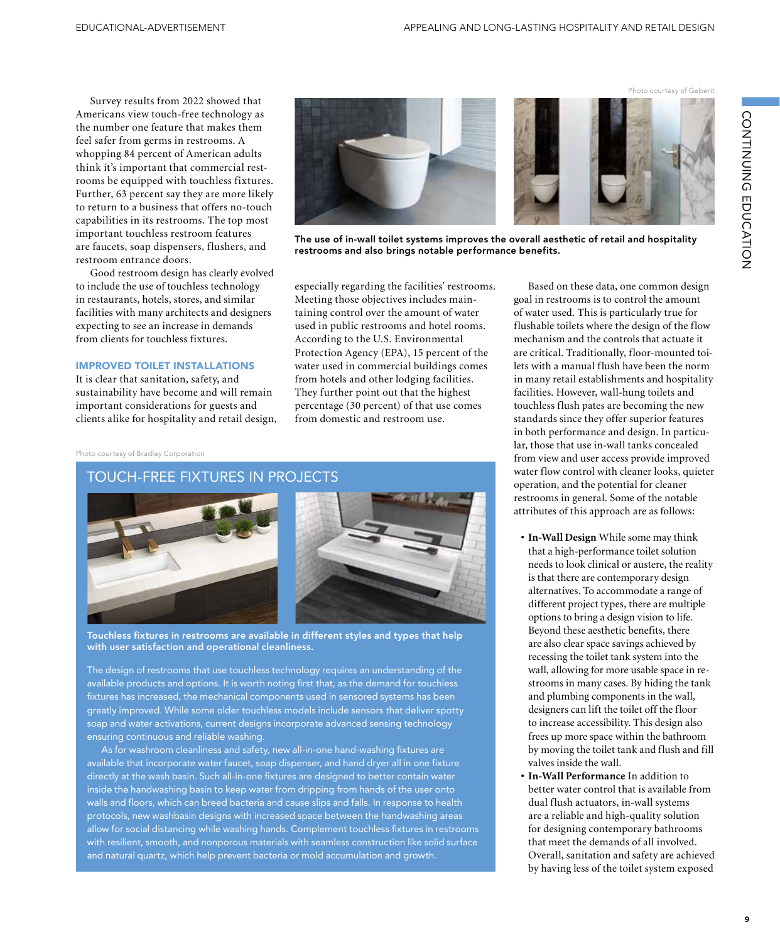Survey results from 2022 showed that Americans view touch-free technology as the number one feature that makes them feel safer from germs in restrooms. A whopping 84 percent of American adults think it's important that commercial restrooms be equipped with touchless fixtures. Further, 63 percent say they are more likely to return to a business that offers no-touch capabilities in its restrooms. The top most important touchless restroom features are faucets, soap dispensers, flushers, and restroom entrance doors.

Good restroom design has clearly evolved to include the use of touchless technology in restaurants, hotels, stores, and similar facilities with many architects and designers expecting to see an increase in demands from clients for touchless fixtures.

#### IMPROVED TOILET INSTALLATIONS

It is clear that sanitation, safety, and sustainability have become and will remain important considerations for guests and clients alike for hospitality and retail design,



The use of in-wall toilet systems improves the overall aesthetic of retail and hospitality restrooms and also brings notable performance benefits.

especially regarding the facilities' restrooms. Meeting those objectives includes maintaining control over the amount of water used in public restrooms and hotel rooms. According to the U.S. Environmental Protection Agency (EPA), 15 percent of the water used in commercial buildings comes from hotels and other lodging facilities. They further point out that the highest percentage (30 percent) of that use comes from domestic and restroom use.

#### Photo courtesy of Bradley Corporation

### TOUCH-FREE FIXTURES IN PROJECTS





Touchless fixtures in restrooms are available in different styles and types that help with user satisfaction and operational cleanliness.

The design of restrooms that use touchless technology requires an understanding of the available products and options. It is worth noting first that, as the demand for touchless fixtures has increased, the mechanical components used in sensored systems has been greatly improved. While some older touchless models include sensors that deliver spotty soap and water activations, current designs incorporate advanced sensing technology ensuring continuous and reliable washing.

As for washroom cleanliness and safety, new all-in-one hand-washing fixtures are available that incorporate water faucet, soap dispenser, and hand dryer all in one fixture directly at the wash basin. Such all-in-one fixtures are designed to better contain water inside the handwashing basin to keep water from dripping from hands of the user onto walls and floors, which can breed bacteria and cause slips and falls. In response to health protocols, new washbasin designs with increased space between the handwashing areas allow for social distancing while washing hands. Complement touchless fixtures in restrooms with resilient, smooth, and nonporous materials with seamless construction like solid surface and natural quartz, which help prevent bacteria or mold accumulation and growth.

Based on these data, one common design goal in restrooms is to control the amount of water used. This is particularly true for flushable toilets where the design of the flow mechanism and the controls that actuate it are critical. Traditionally, floor-mounted toilets with a manual flush have been the norm in many retail establishments and hospitality facilities. However, wall-hung toilets and touchless flush pates are becoming the new standards since they offer superior features in both performance and design. In particular, those that use in-wall tanks concealed from view and user access provide improved water flow control with cleaner looks, quieter operation, and the potential for cleaner restrooms in general. Some of the notable attributes of this approach are as follows:

- **• In-Wall Design** While some may think that a high-performance toilet solution needs to look clinical or austere, the reality is that there are contemporary design alternatives. To accommodate a range of different project types, there are multiple options to bring a design vision to life. Beyond these aesthetic benefits, there are also clear space savings achieved by recessing the toilet tank system into the wall, allowing for more usable space in restrooms in many cases. By hiding the tank and plumbing components in the wall, designers can lift the toilet off the floor to increase accessibility. This design also frees up more space within the bathroom by moving the toilet tank and flush and fill valves inside the wall.
- **• In-Wall Performance** In addition to better water control that is available from dual flush actuators, in-wall systems are a reliable and high-quality solution for designing contemporary bathrooms that meet the demands of all involved. Overall, sanitation and safety are achieved by having less of the toilet system exposed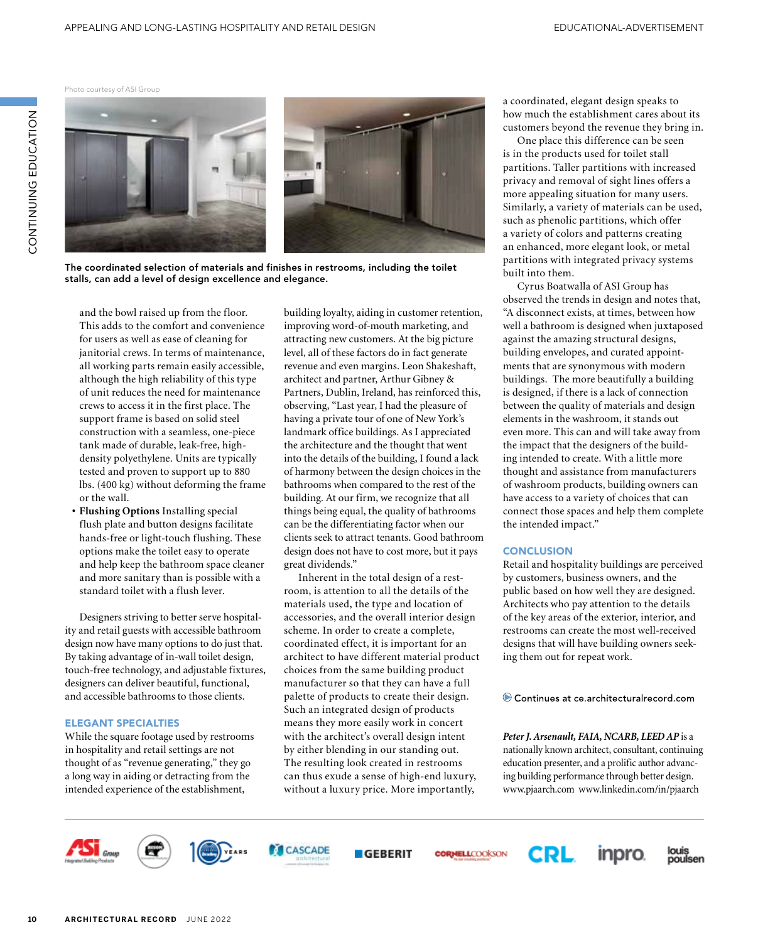Photo courtesy of ASI Group

ZOI-YUJQI UZIJZI-IZOU

CONTINUING EDUCATION



The coordinated selection of materials and finishes in restrooms, including the toilet stalls, can add a level of design excellence and elegance.

and the bowl raised up from the floor. This adds to the comfort and convenience for users as well as ease of cleaning for janitorial crews. In terms of maintenance, all working parts remain easily accessible, although the high reliability of this type of unit reduces the need for maintenance crews to access it in the first place. The support frame is based on solid steel construction with a seamless, one-piece tank made of durable, leak-free, highdensity polyethylene. Units are typically tested and proven to support up to 880 lbs. (400 kg) without deforming the frame or the wall.

**• Flushing Options** Installing special flush plate and button designs facilitate hands-free or light-touch flushing. These options make the toilet easy to operate and help keep the bathroom space cleaner and more sanitary than is possible with a standard toilet with a flush lever.

Designers striving to better serve hospitality and retail guests with accessible bathroom design now have many options to do just that. By taking advantage of in-wall toilet design, touch-free technology, and adjustable fixtures, designers can deliver beautiful, functional, and accessible bathrooms to those clients.

#### ELEGANT SPECIALTIES

While the square footage used by restrooms in hospitality and retail settings are not thought of as "revenue generating," they go a long way in aiding or detracting from the intended experience of the establishment,

building loyalty, aiding in customer retention, improving word-of-mouth marketing, and attracting new customers. At the big picture level, all of these factors do in fact generate revenue and even margins. Leon Shakeshaft, architect and partner, Arthur Gibney & Partners, Dublin, Ireland, has reinforced this, observing, "Last year, I had the pleasure of having a private tour of one of New York's landmark office buildings. As I appreciated the architecture and the thought that went into the details of the building, I found a lack of harmony between the design choices in the bathrooms when compared to the rest of the building. At our firm, we recognize that all things being equal, the quality of bathrooms can be the differentiating factor when our clients seek to attract tenants. Good bathroom design does not have to cost more, but it pays great dividends."

Inherent in the total design of a restroom, is attention to all the details of the materials used, the type and location of accessories, and the overall interior design scheme. In order to create a complete, coordinated effect, it is important for an architect to have different material product choices from the same building product manufacturer so that they can have a full palette of products to create their design. Such an integrated design of products means they more easily work in concert with the architect's overall design intent by either blending in our standing out. The resulting look created in restrooms can thus exude a sense of high-end luxury, without a luxury price. More importantly,

a coordinated, elegant design speaks to how much the establishment cares about its customers beyond the revenue they bring in.

One place this difference can be seen is in the products used for toilet stall partitions. Taller partitions with increased privacy and removal of sight lines offers a more appealing situation for many users. Similarly, a variety of materials can be used, such as phenolic partitions, which offer a variety of colors and patterns creating an enhanced, more elegant look, or metal partitions with integrated privacy systems built into them.

Cyrus Boatwalla of ASI Group has observed the trends in design and notes that, "A disconnect exists, at times, between how well a bathroom is designed when juxtaposed against the amazing structural designs, building envelopes, and curated appointments that are synonymous with modern buildings. The more beautifully a building is designed, if there is a lack of connection between the quality of materials and design elements in the washroom, it stands out even more. This can and will take away from the impact that the designers of the building intended to create. With a little more thought and assistance from manufacturers of washroom products, building owners can have access to a variety of choices that can connect those spaces and help them complete the intended impact."

#### **CONCLUSION**

Retail and hospitality buildings are perceived by customers, business owners, and the public based on how well they are designed. Architects who pay attention to the details of the key areas of the exterior, interior, and restrooms can create the most well-received designs that will have building owners seeking them out for repeat work.

Continues at ce.architecturalrecord.com

Peter J. Arsenault, FAIA, NCARB, LEED AP is a nationally known architect, consultant, continuing education presenter, and a prolific author advancing building performance through better design. www.pjaarch.com www.linkedin.com/in/pjaarch













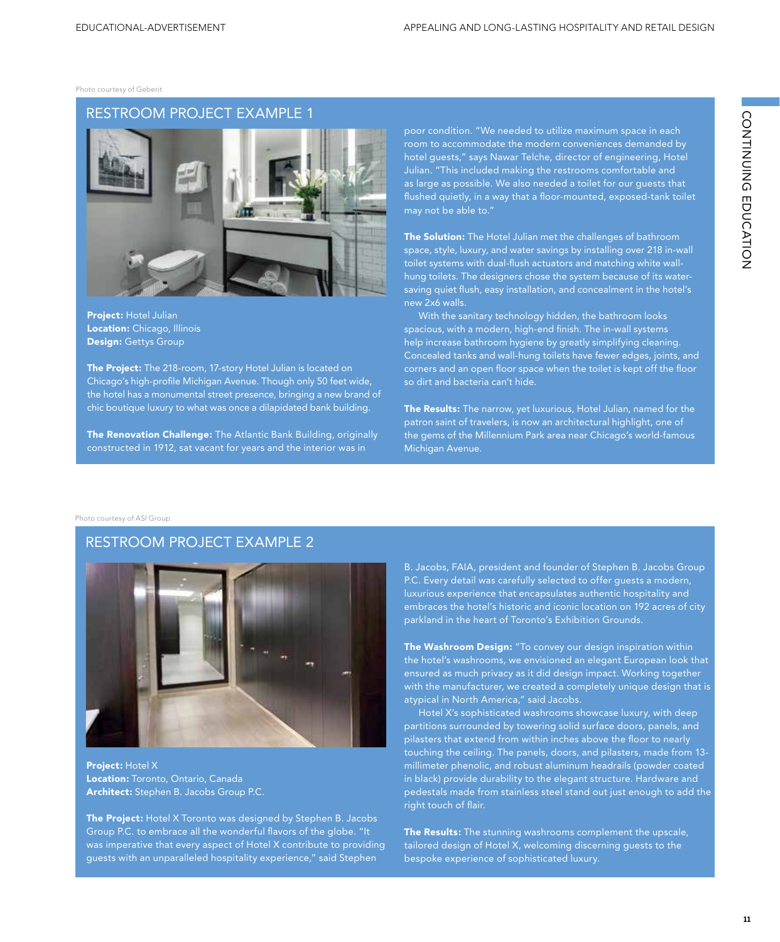Photo courtesy of Geberit

# RESTROOM PROJECT EXAMPLE 1



Project: Hotel Julian **Location:** Chicago, Illinois Design: Gettys Group

The Project: The 218-room, 17-story Hotel Julian is located on Chicago's high-profile Michigan Avenue. Though only 50 feet wide, the hotel has a monumental street presence, bringing a new brand of chic boutique luxury to what was once a dilapidated bank building.

The Renovation Challenge: The Atlantic Bank Building, originally constructed in 1912, sat vacant for years and the interior was in

poor condition. "We needed to utilize maximum space in each room to accommodate the modern conveniences demanded by hotel guests," says Nawar Telche, director of engineering, Hotel Julian. "This included making the restrooms comfortable and as large as possible. We also needed a toilet for our guests that flushed quietly, in a way that a floor-mounted, exposed-tank toilet may not be able to."

The Solution: The Hotel Julian met the challenges of bathroom space, style, luxury, and water savings by installing over 218 in-wall toilet systems with dual-flush actuators and matching white wallhung toilets. The designers chose the system because of its watersaving quiet flush, easy installation, and concealment in the hotel's new 2x6 walls.

With the sanitary technology hidden, the bathroom looks spacious, with a modern, high-end finish. The in-wall systems help increase bathroom hygiene by greatly simplifying cleaning. Concealed tanks and wall-hung toilets have fewer edges, joints, and corners and an open floor space when the toilet is kept off the floor so dirt and bacteria can't hide.

The Results: The narrow, yet luxurious, Hotel Julian, named for the patron saint of travelers, is now an architectural highlight, one of the gems of the Millennium Park area near Chicago's world-famous Michigan Avenue.

Photo courtesy of ASI Group

# RESTROOM PROJECT EXAMPLE 2



Project: Hotel X Location: Toronto, Ontario, Canada Architect: Stephen B. Jacobs Group P.C.

The Project: Hotel X Toronto was designed by Stephen B. Jacobs Group P.C. to embrace all the wonderful flavors of the globe. "It was imperative that every aspect of Hotel X contribute to providing guests with an unparalleled hospitality experience," said Stephen

B. Jacobs, FAIA, president and founder of Stephen B. Jacobs Group P.C. Every detail was carefully selected to offer guests a modern, luxurious experience that encapsulates authentic hospitality and embraces the hotel's historic and iconic location on 192 acres of city parkland in the heart of Toronto's Exhibition Grounds.

The Washroom Design: "To convey our design inspiration within the hotel's washrooms, we envisioned an elegant European look that ensured as much privacy as it did design impact. Working together with the manufacturer, we created a completely unique design that is atypical in North America," said Jacobs.

Hotel X's sophisticated washrooms showcase luxury, with deep partitions surrounded by towering solid surface doors, panels, and pilasters that extend from within inches above the floor to nearly touching the ceiling. The panels, doors, and pilasters, made from 13 millimeter phenolic, and robust aluminum headrails (powder coated in black) provide durability to the elegant structure. Hardware and pedestals made from stainless steel stand out just enough to add the right touch of flair.

The Results: The stunning washrooms complement the upscale, tailored design of Hotel X, welcoming discerning guests to the bespoke experience of sophisticated luxury.